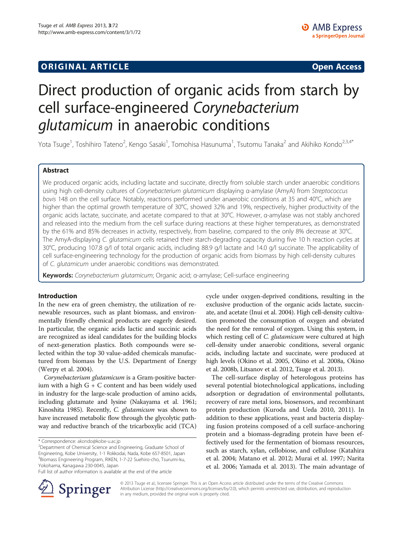## **ORIGINAL ARTICLE CONSUMING A LIGACION CONSUMING A LIGACION CONSUMING A LIGACION**

# Direct production of organic acids from starch by cell surface-engineered Corynebacterium glutamicum in anaerobic conditions

Yota Tsuge<sup>1</sup>, Toshihiro Tateno<sup>2</sup>, Kengo Sasaki<sup>1</sup>, Tomohisa Hasunuma<sup>1</sup>, Tsutomu Tanaka<sup>2</sup> and Akihiko Kondo<sup>2,3,4\*</sup>

## Abstract

We produced organic acids, including lactate and succinate, directly from soluble starch under anaerobic conditions using high cell-density cultures of Corynebacterium glutamicum displaying α-amylase (AmyA) from Streptococcus bovis 148 on the cell surface. Notably, reactions performed under anaerobic conditions at 35 and 40°C, which are higher than the optimal growth temperature of 30°C, showed 32% and 19%, respectively, higher productivity of the organic acids lactate, succinate, and acetate compared to that at 30°C. However, α-amylase was not stably anchored and released into the medium from the cell surface during reactions at these higher temperatures, as demonstrated by the 61% and 85% decreases in activity, respectively, from baseline, compared to the only 8% decrease at 30°C. The AmyA-displaying C. glutamicum cells retained their starch-degrading capacity during five 10 h reaction cycles at 30°C, producing 107.8 g/l of total organic acids, including 88.9 g/l lactate and 14.0 g/l succinate. The applicability of cell surface-engineering technology for the production of organic acids from biomass by high cell-density cultures of C. glutamicum under anaerobic conditions was demonstrated.

Keywords: Corynebacterium glutamicum; Organic acid; α-amylase; Cell-surface engineering

## Introduction

In the new era of green chemistry, the utilization of renewable resources, such as plant biomass, and environmentally friendly chemical products are eagerly desired. In particular, the organic acids lactic and succinic acids are recognized as ideal candidates for the building blocks of next-generation plastics. Both compounds were selected within the top 30 value-added chemicals manufactured from biomass by the U.S. Department of Energy (Werpy et al. [2004\)](#page-6-0).

Corynebacterium glutamicum is a Gram-positive bacterium with a high G + C content and has been widely used in industry for the large-scale production of amino acids, including glutamate and lysine (Nakayama et al. [1961](#page-5-0); Kinoshita [1985](#page-5-0)). Recently, C. glutamicum was shown to have increased metabolic flow through the glycolytic pathway and reductive branch of the tricarboxylic acid (TCA) cycle under oxygen-deprived conditions, resulting in the exclusive production of the organic acids lactate, succinate, and acetate (Inui et al. [2004](#page-5-0)). High cell-density cultivation promoted the consumption of oxygen and obviated the need for the removal of oxygen. Using this system, in which resting cell of *C. glutamicum* were cultured at high cell-density under anaerobic conditions, several organic acids, including lactate and succinate, were produced at high levels (Okino et al. [2005,](#page-5-0) Okino et al. [2008a](#page-5-0), Okino et al. [2008b](#page-5-0), Litsanov et al. [2012](#page-5-0), Tsuge et al. [2013](#page-6-0)).

The cell-surface display of heterologous proteins has several potential biotechnological applications, including adsorption or degradation of environmental pollutants, recovery of rare metal ions, biosensors, and recombinant protein production (Kuroda and Ueda [2010](#page-5-0), [2011\)](#page-5-0). In addition to these applications, yeast and bacteria displaying fusion proteins composed of a cell surface-anchoring protein and a biomass-degrading protein have been effectively used for the fermentation of biomass resources, such as starch, xylan, cellobiose, and cellulose (Katahira et al. [2004;](#page-5-0) Matano et al. [2012;](#page-5-0) Murai et al. [1997](#page-5-0); Narita et al. [2006](#page-5-0); Yamada et al. [2013](#page-6-0)). The main advantage of



© 2013 Tsuge et al.; licensee Springer. This is an Open Access article distributed under the terms of the Creative Commons Attribution License [\(http://creativecommons.org/licenses/by/2.0\)](http://creativecommons.org/licenses/by/2.0), which permits unrestricted use, distribution, and reproduction in any medium, provided the original work is properly cited.

<sup>\*</sup> Correspondence: [akondo@kobe-u.ac.jp](mailto:akondo@kobe-u.ac.jp) <sup>2</sup>

<sup>&</sup>lt;sup>2</sup>Department of Chemical Science and Engineering, Graduate School of Engineering, Kobe University, 1-1 Rokkodai, Nada, Kobe 657-8501, Japan 3 Biomass Engineering Program, RIKEN, 1-7-22 Suehiro-cho, Tsurumi-ku, Yokohama, Kanagawa 230-0045, Japan

Full list of author information is available at the end of the article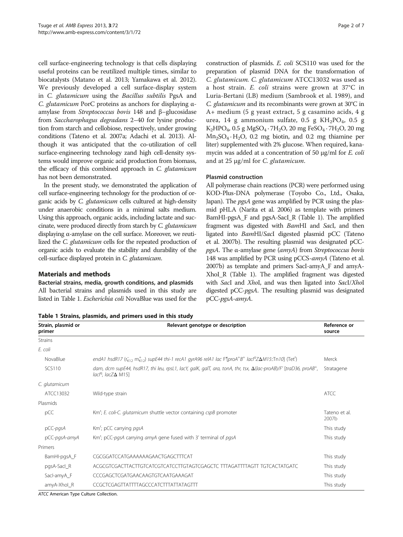cell surface-engineering technology is that cells displaying useful proteins can be reutilized multiple times, similar to biocatalysts (Matano et al. [2013;](#page-5-0) Yamakawa et al. [2012](#page-6-0)). We previously developed a cell surface-display system in C. glutamicum using the Bacillus subtilis PgsA and C. glutamicum PorC proteins as anchors for displaying αamylase from Streptococcus bovis 148 and β–glucosidase from Saccharophagus degradans 2–40 for lysine production from starch and cellobiose, respectively, under growing conditions (Tateno et al. [2007a](#page-6-0); Adachi et al. [2013](#page-5-0)). Although it was anticipated that the co-utilization of cell surface-engineering technology zand high cell-density systems would improve organic acid production from biomass, the efficacy of this combined approach in C. glutamicum has not been demonstrated.

In the present study, we demonstrated the application of cell surface-engineering technology for the production of organic acids by C. glutamicum cells cultured at high-density under anaerobic conditions in a minimal salts medium. Using this approach, organic acids, including lactate and succinate, were produced directly from starch by C. glutamicum displaying α-amylase on the cell surface. Moreover, we reutilized the C. glutamicum cells for the repeated production of organic acids to evaluate the stability and durability of the cell-surface displayed protein in C. glutamicum.

## Materials and methods

Bacterial strains, media, growth conditions, and plasmids All bacterial strains and plasmids used in this study are listed in Table 1. Escherichia coli NovaBlue was used for the

Table 1 Strains, plasmids, and primers used in this study

construction of plasmids. E. coli SCS110 was used for the preparation of plasmid DNA for the transformation of C. glutamicum. C. glutamicum ATCC13032 was used as a host strain. E. coli strains were grown at 37°C in Luria-Bertani (LB) medium (Sambrook et al. [1989\)](#page-5-0), and C. glutamicum and its recombinants were grown at 30°C in A+ medium (5 g yeast extract, 5 g casamino acids, 4 g urea, 14 g ammonium sulfate, 0.5 g  $KH_2PO_4$ , 0.5 g  $K_2HPO_4$ , 0.5 g MgSO<sub>4</sub> · 7H<sub>2</sub>O, 20 mg FeSO<sub>4</sub> · 7H<sub>2</sub>O, 20 mg  $Mn_2SO_4 \cdot H_2O$ , 0.2 mg biotin, and 0.2 mg thiamine per liter) supplemented with 2% glucose. When required, kanamycin was added at a concentration of 50 μg/ml for E. coli and at 25 μg/ml for C. glutamicum.

#### Plasmid construction

All polymerase chain reactions (PCR) were performed using KOD-Plus-DNA polymerase (Toyobo Co., Ltd., Osaka, Japan). The *pgsA* gene was amplified by PCR using the plasmid pHLA (Narita et al. [2006\)](#page-5-0) as template with primers BamHI-pgsA\_F and pgsA-SacI\_R (Table 1). The amplified fragment was digested with BamHI and SacI, and then ligated into BamHI/SacI digested plasmid pCC (Tateno et al. [2007b](#page-6-0)). The resulting plasmid was designated pCC $pgsA$ . The  $\alpha$ -amylase gene ( $amyA$ ) from Streptococcus bovis 148 was amplified by PCR using pCCS-amyA (Tateno et al. [2007b](#page-6-0)) as template and primers SacI-amyA\_F and amyA-XhoI\_R (Table 1). The amplified fragment was digested with SacI and XhoI, and was then ligated into SacI/XhoI digested pCC-pgsA. The resulting plasmid was designated pCC-pgsA-amyA.

| Strain, plasmid or<br>primer | Relevant genotype or description                                                                                                                                                 | Reference or<br>source |
|------------------------------|----------------------------------------------------------------------------------------------------------------------------------------------------------------------------------|------------------------|
| <b>Strains</b>               |                                                                                                                                                                                  |                        |
| E. coli                      |                                                                                                                                                                                  |                        |
| NovaBlue                     | endA1 hsdR17 ( $r_{K12}$ m <sub>K12</sub> ) supE44 thi-1 recA1 gyrA96 relA1 lac F'(proA <sup>+</sup> B <sup>+</sup> lacl <sup>q</sup> Z $\Delta M$ 15::Tn10] (Tet <sup>r</sup> ) | Merck                  |
| <b>SCS110</b>                | dam, dcm supE44, hsdR17, thi leu, rpsL1, lacY, galK, galT, ara, tonA, thr, tsx, $\Delta$ (lac-proAB)/F' [traD36, proAB <sup>+</sup> ,<br>lacl <sup>ч</sup> . lacZ∆ M151          | Stratagene             |
| C. glutamicum                |                                                                                                                                                                                  |                        |
| ATCC13032                    | Wild-type strain                                                                                                                                                                 | <b>ATCC</b>            |
| Plasmids                     |                                                                                                                                                                                  |                        |
| pCC                          | Km <sup>r</sup> ; E. coli-C. glutamicum shuttle vector containing cspB promoter                                                                                                  | Tateno et al.<br>2007b |
| pCC-pgsA                     | Km <sup>r</sup> ; pCC carrying pgsA                                                                                                                                              | This study             |
| pCC-pgsA-amyA                | Km <sup>r</sup> ; pCC-pgsA carrying amyA gene fused with 3' terminal of pgsA                                                                                                     | This study             |
| Primers                      |                                                                                                                                                                                  |                        |
| BamHI-pgsA_F                 | CGCGGATCCATGAAAAAAGAACTGAGCTTTCAT                                                                                                                                                | This study             |
| pgsA-Sacl_R                  | ACGCGTCGACTTACTTGTCATCGTCATCCTTGTAGTCGAGCTC_TTTAGATTTTAGTT_TGTCACTATGATC                                                                                                         | This study             |
| Sacl-amyA_F                  | CCCGAGCTCGATGAACAAGTGTCAATGAAAGAT                                                                                                                                                | This study             |
| amyA-Xhol_R                  | CCGCTCGAGTTATTTTAGCCCATCTTTATTATAGTTT                                                                                                                                            | This study             |

ATCC American Type Culture Collection.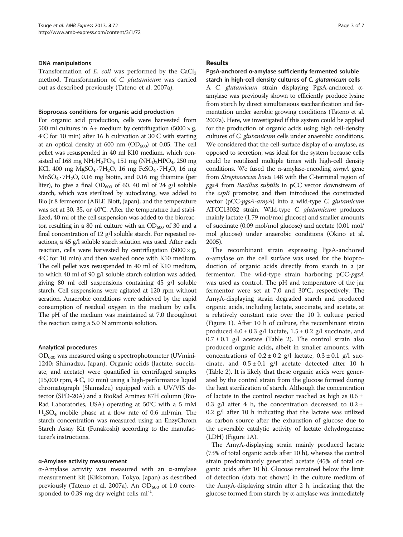#### DNA manipulations

Transformation of E. coli was performed by the  $CaCl<sub>2</sub>$ method. Transformation of C. glutamicum was carried out as described previously (Tateno et al. [2007a\)](#page-6-0).

#### Bioprocess conditions for organic acid production

For organic acid production, cells were harvested from 500 ml cultures in A+ medium by centrifugation  $(5000 \times g)$ 4°C for 10 min) after 16 h cultivation at 30°C with starting at an optical density at 600 nm  $(OD_{600})$  of 0.05. The cell pellet was resuspended in 40 ml K10 medium, which consisted of 168 mg NH<sub>4</sub>H<sub>2</sub>PO<sub>4</sub>, 151 mg (NH<sub>4</sub>)<sub>2</sub>HPO<sub>4</sub>, 250 mg KCl, 400 mg MgSO<sub>4</sub> · 7H<sub>2</sub>O, 16 mg FeSO<sub>4</sub> · 7H<sub>2</sub>O, 16 mg  $MnSO<sub>4</sub>·7H<sub>2</sub>O$ , 0.16 mg biotin, and 0.16 mg thiamine (per liter), to give a final  $OD_{600}$  of 60. 40 ml of 24 g/l soluble starch, which was sterilized by autoclaving, was added to Bio Jr.8 fermentor (ABLE Biott, Japan), and the temperature was set at 30, 35, or 40°C. After the temperature had stabilized, 40 ml of the cell suspension was added to the bioreactor, resulting in a 80 ml culture with an  $OD_{600}$  of 30 and a final concentration of 12 g/l soluble starch. For repeated reactions, a 45 g/l soluble starch solution was used. After each reaction, cells were harvested by centrifugation  $(5000 \times g)$ 4°C for 10 min) and then washed once with K10 medium. The cell pellet was resuspended in 40 ml of K10 medium, to which 40 ml of 90 g/l soluble starch solution was added, giving 80 ml cell suspensions containing 45 g/l soluble starch. Cell suspensions were agitated at 120 rpm without aeration. Anaerobic conditions were achieved by the rapid consumption of residual oxygen in the medium by cells. The pH of the medium was maintained at 7.0 throughout the reaction using a 5.0 N ammonia solution.

#### Analytical procedures

 $OD_{600}$  was measured using a spectrophotometer (UVmini-1240; Shimadzu, Japan). Organic acids (lactate, succinate, and acetate) were quantified in centrifuged samples (15,000 rpm, 4°C, 10 min) using a high-performance liquid chromatograph (Shimadzu) equipped with a UV/VIS detector (SPD-20A) and a BioRad Aminex 87H column (Bio-Rad Laboratories, USA) operating at 50°C with a 5 mM  $H<sub>2</sub>SO<sub>4</sub>$  mobile phase at a flow rate of 0.6 ml/min. The starch concentration was measured using an EnzyChrom Starch Assay Kit (Funakoshi) according to the manufacturer's instructions.

#### α-Amylase activity measurement

α-Amylase activity was measured with an α-amylase measurement kit (Kikkoman, Tokyo, Japan) as described previously (Tateno et al. [2007a\)](#page-6-0). An  $OD_{600}$  of 1.0 corresponded to 0.39 mg dry weight cells  $ml^{-1}$ .

#### Results

## PgsA-anchored α-amylase sufficiently fermented soluble

starch in high-cell density cultures of C. glutamicum cells A C. glutamicum strain displaying PgsA-anchored αamylase was previously shown to efficiently produce lysine from starch by direct simultaneous saccharification and fermentation under aerobic growing conditions (Tateno et al. [2007a\)](#page-6-0). Here, we investigated if this system could be applied for the production of organic acids using high cell-density cultures of C. glutamicum cells under anaerobic conditions. We considered that the cell-surface display of α-amylase, as opposed to secretion, was ideal for the system because cells could be reutilized multiple times with high-cell density conditions. We fused the  $\alpha$ -amylase-encoding  $amyA$  gene from Streptococcus bovis 148 with the C-terminal region of pgsA from Bacillus subtilis in pCC vector downstream of the cspB promoter, and then introduced the constructed vector (pCC-pgsA-amyA) into a wild-type C. glutamicum ATCC13032 strain. Wild-type C. glutamicum produces mainly lactate (1.79 mol/mol glucose) and smaller amounts of succinate (0.09 mol/mol glucose) and acetate (0.01 mol/ mol glucose) under anaerobic conditions (Okino et al. [2005\)](#page-5-0).

The recombinant strain expressing PgsA-anchored α-amylase on the cell surface was used for the bioproduction of organic acids directly from starch in a jar fermentor. The wild-type strain harboring pCC-pgsA was used as control. The pH and temperature of the jar fermentor were set at 7.0 and 30°C, respectively. The AmyA-displaying strain degraded starch and produced organic acids, including lactate, succinate, and acetate, at a relatively constant rate over the 10 h culture period (Figure [1](#page-3-0)). After 10 h of culture, the recombinant strain produced  $6.0 \pm 0.3$  g/l lactate,  $1.5 \pm 0.2$  g/l succinate, and  $0.7 \pm 0.1$  g/l acetate (Table [2](#page-3-0)). The control strain also produced organic acids, albeit in smaller amounts, with concentrations of  $0.2 \pm 0.2$  g/l lactate,  $0.3 \pm 0.1$  g/l succinate, and  $0.5 \pm 0.1$  g/l acetate detected after 10 h (Table [2](#page-3-0)). It is likely that these organic acids were generated by the control strain from the glucose formed during the heat sterilization of starch. Although the concentration of lactate in the control reactor reached as high as  $0.6 \pm$ 0.3 g/l after 4 h, the concentration decreased to  $0.2 \pm$ 0.2 g/l after 10 h indicating that the lactate was utilized as carbon source after the exhaustion of glucose due to the reversible catalytic activity of lactate dehydrogenase (LDH) (Figure [1](#page-3-0)A).

The AmyA-displaying strain mainly produced lactate (73% of total organic acids after 10 h), whereas the control strain predominantly generated acetate (45% of total organic acids after 10 h). Glucose remained below the limit of detection (data not shown) in the culture medium of the AmyA-displaying strain after 2 h, indicating that the glucose formed from starch by α-amylase was immediately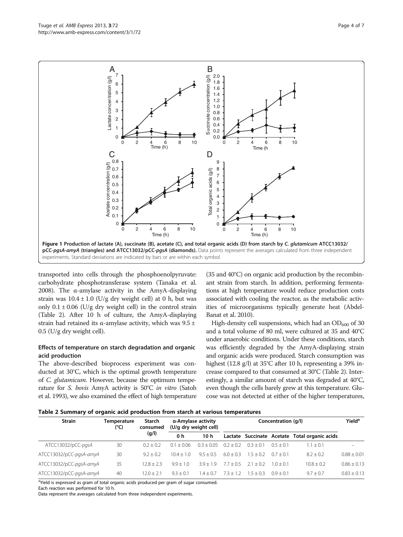transported into cells through the phosphoenolpyruvate: carbohydrate phosphotransferase system (Tanaka et al. [2008\)](#page-6-0). The α-amylase activity in the AmyA-displaying strain was  $10.4 \pm 1.0$  (U/g dry weight cell) at 0 h, but was only  $0.1 \pm 0.06$  (U/g dry weight cell) in the control strain (Table 2). After 10 h of culture, the AmyA-displaying strain had retained its  $\alpha$ -amylase activity, which was 9.5 ± 0.5 (U/g dry weight cell).

## Effects of temperature on starch degradation and organic acid production

The above-described bioprocess experiment was conducted at 30°C, which is the optimal growth temperature of C. glutamicum. However, because the optimum temperature for S. bovis AmyA activity is 50°C in vitro (Satoh et al. [1993](#page-5-0)), we also examined the effect of high temperature (35 and 40°C) on organic acid production by the recombinant strain from starch. In addition, performing fermentations at high temperature would reduce production costs associated with cooling the reactor, as the metabolic activities of microorganisms typically generate heat (Abdel-Banat et al. [2010](#page-5-0)).

High-density cell suspensions, which had an  $OD_{600}$  of 30 and a total volume of 80 ml, were cultured at 35 and 40°C under anaerobic conditions. Under these conditions, starch was efficiently degraded by the AmyA-displaying strain and organic acids were produced. Starch consumption was highest (12.8 g/l) at 35°C after 10 h, representing a 39% increase compared to that consumed at 30°C (Table 2). Interestingly, a similar amount of starch was degraded at 40°C, even though the cells barely grew at this temperature. Glucose was not detected at either of the higher temperatures,



| <b>Strain</b>           | Temperature<br>(°C) | Starch<br>consumed<br>(g/l) | α-Amylase activity<br>(U/g dry weight cell) |                 | Concentration (q/l) |           |           |                                               | <b>Yield</b> <sup>a</sup> |
|-------------------------|---------------------|-----------------------------|---------------------------------------------|-----------------|---------------------|-----------|-----------|-----------------------------------------------|---------------------------|
|                         |                     |                             | 0 h                                         | 10 <sub>h</sub> |                     |           |           | Lactate Succinate Acetate Total organic acids |                           |
| ATCC13032/pCC-pgsA      | 30                  | $0.2 + 0.2$                 | $01 + 006$                                  | $03 + 005$      | $02 + 02$           | $03 + 01$ | $05 + 01$ | $1.1 \pm 0.1$                                 |                           |
| ATCC13032/pCC-pgsA-amyA | 30                  | $9.2 + 0.2$                 | $10.4 + 1.0$                                | $95 + 05$       | $60 + 03$           | $15 + 02$ | $07 + 01$ | $8.2 \pm 0.2$                                 | $0.88 \pm 0.01$           |
| ATCC13032/pCC-pgsA-amyA | 35                  | $12.8 + 2.3$                | $99 + 10$                                   | $39 + 19$       | $77 + 05$           | $21 + 02$ | $10 + 01$ | $10.8 + 0.2$                                  | $0.86 + 0.13$             |
| ATCC13032/pCC-pgsA-amyA | 40                  | $12.0 + 2.1$                | $93 + 01$                                   | $1.4 + 0.7$     | $73 + 12$           | $15 + 03$ | $09 + 01$ | $9.7 + 0.7$                                   | $0.83 + 0.13$             |

<sup>a</sup>Yield is expressed as gram of total organic acids produced per gram of sugar consumed. Each reaction was performed for 10 h.

Data represent the averages calculated from three independent experiments.

<span id="page-3-0"></span>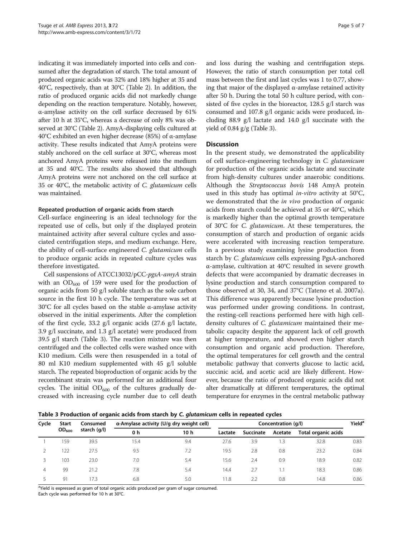indicating it was immediately imported into cells and consumed after the degradation of starch. The total amount of produced organic acids was 32% and 18% higher at 35 and 40°C, respectively, than at 30°C (Table [2](#page-3-0)). In addition, the ratio of produced organic acids did not markedly change depending on the reaction temperature. Notably, however, α-amylase activity on the cell surface decreased by 61% after 10 h at 35°C, whereas a decrease of only 8% was observed at 30°C (Table [2](#page-3-0)). AmyA-displaying cells cultured at 40°C exhibited an even higher decrease (85%) of α-amylase activity. These results indicated that AmyA proteins were stably anchored on the cell surface at 30°C, whereas most anchored AmyA proteins were released into the medium at 35 and 40°C. The results also showed that although AmyA proteins were not anchored on the cell surface at 35 or 40°C, the metabolic activity of C. glutamicum cells was maintained.

#### Repeated production of organic acids from starch

Cell-surface engineering is an ideal technology for the repeated use of cells, but only if the displayed protein maintained activity after several culture cycles and associated centrifugation steps, and medium exchange. Here, the ability of cell-surface engineered C. glutamicum cells to produce organic acids in repeated culture cycles was therefore investigated.

Cell suspensions of ATCC13032/pCC-pgsA-amyA strain with an  $OD_{600}$  of 159 were used for the production of organic acids from 50 g/l soluble starch as the sole carbon source in the first 10 h cycle. The temperature was set at 30°C for all cycles based on the stable α-amylase activity observed in the initial experiments. After the completion of the first cycle, 33.2 g/l organic acids (27.6 g/l lactate, 3.9 g/l succinate, and 1.3 g/l acetate) were produced from 39.5 g/l starch (Table 3). The reaction mixture was then centrifuged and the collected cells were washed once with K10 medium. Cells were then resuspended in a total of 80 ml K10 medium supplemented with 45 g/l soluble starch. The repeated bioproduction of organic acids by the recombinant strain was performed for an additional four cycles. The initial  $OD_{600}$  of the cultures gradually decreased with increasing cycle number due to cell death

and loss during the washing and centrifugation steps. However, the ratio of starch consumption per total cell mass between the first and last cycles was 1 to 0.77, showing that major of the displayed  $\alpha$ -amylase retained activity after 50 h. During the total 50 h culture period, with consisted of five cycles in the bioreactor, 128.5 g/l starch was consumed and 107.8 g/l organic acids were produced, including 88.9 g/l lactate and 14.0 g/l succinate with the yield of  $0.84$  g/g (Table 3).

## **Discussion**

In the present study, we demonstrated the applicability of cell surface-engineering technology in C. glutamicum for production of the organic acids lactate and succinate from high-density cultures under anaerobic conditions. Although the Streptococcus bovis 148 AmyA protein used in this study has optimal *in-vitro* activity at  $50^{\circ}$ C, we demonstrated that the *in vivo* production of organic acids from starch could be achieved at 35 or 40°C, which is markedly higher than the optimal growth temperature of 30°C for C. glutamicum. At these temperatures, the consumption of starch and production of organic acids were accelerated with increasing reaction temperature. In a previous study examining lysine production from starch by C. glutamicum cells expressing PgsA-anchored α-amylase, cultivation at 40°C resulted in severe growth defects that were accompanied by dramatic decreases in lysine production and starch consumption compared to those observed at 30, 34, and 37°C (Tateno et al. [2007a](#page-6-0)). This difference was apparently because lysine production was performed under growing conditions. In contrast, the resting-cell reactions performed here with high celldensity cultures of C. glutamicum maintained their metabolic capacity despite the apparent lack of cell growth at higher temperature, and showed even higher starch consumption and organic acid production. Therefore, the optimal temperatures for cell growth and the central metabolic pathway that converts glucose to lactic acid, succinic acid, and acetic acid are likely different. However, because the ratio of produced organic acids did not alter dramatically at different temperatures, the optimal temperature for enzymes in the central metabolic pathway

Table 3 Production of organic acids from starch by C. glutamicum cells in repeated cycles

| Cycle | <b>Start</b><br>$OD_{600}$ | Consumed<br>starch (g/l) | α-Amylase activity (U/g dry weight cell) |                 | Concentration (q/l) |           |            |                     |      |
|-------|----------------------------|--------------------------|------------------------------------------|-----------------|---------------------|-----------|------------|---------------------|------|
|       |                            |                          | 0 h                                      | 10 <sub>h</sub> | Lactate             | Succinate | Acetate    | Total organic acids |      |
|       | 159                        | 39.5                     | 15.4                                     | 9.4             | 27.6                | 3.9       | . 3        | 32.8                | 0.83 |
|       | 22                         | 27.5                     | 9.5                                      | 7.2             | 19.5                | 2.8       | 0.8        | 23.2                | 0.84 |
|       | 103                        | 23.0                     | 7.0                                      | 5.4             | 15.6                | 2.4       | 0.9        | 18.9                | 0.82 |
| 4     | 99                         | 21.2                     | 7.8                                      | 5.4             | 14.4                | 2.7       | $\cdot$ .1 | 18.3                | 0.86 |
|       | 91                         | 17.3                     | 6.8                                      | 5.0             | 11.8                | 2.2       | 0.8        | 14.8                | 0.86 |

<sup>a</sup>Yield is expressed as gram of total organic acids produced per gram of sugar consumed. Each cycle was performed for 10 h at 30°C.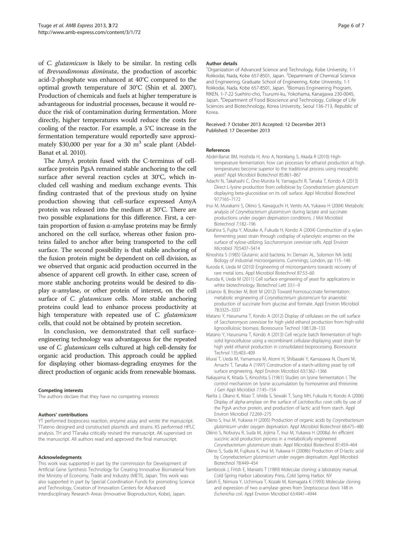<span id="page-5-0"></span>of C. glutamicum is likely to be similar. In resting cells of Brevundimonas diminuta, the production of ascorbic acid-2-phosphate was enhanced at 40°C compared to the optimal growth temperature of 30°C (Shin et al. [2007](#page-6-0)). Production of chemicals and fuels at higher temperature is advantageous for industrial processes, because it would reduce the risk of contamination during fermentation. More directly, higher temperatures would reduce the costs for cooling of the reactor. For example, a 5°C increase in the fermentation temperature would reportedly save approximately \$30,000 per year for a 30  $m<sup>3</sup>$  scale plant (Abdel-Banat et al. 2010).

The AmyA protein fused with the C-terminus of cellsurface protein PgsA remained stable anchoring to the cell surface after several reaction cycles at 30°C, which included cell washing and medium exchange events. This finding contrasted that of the previous study on lysine production showing that cell-surface expressed AmyA protein was released into the medium at 30°C. There are two possible explanations for this difference. First, a certain proportion of fusion α-amylase proteins may be firmly anchored on the cell surface, whereas other fusion proteins failed to anchor after being transported to the cell surface. The second possibility is that stable anchoring of the fusion protein might be dependent on cell division, as we observed that organic acid production occurred in the absence of apparent cell growth. In either case, screen of more stable anchoring proteins would be desired to display α-amylase, or other protein of interest, on the cell surface of *C. glutamicum* cells. More stable anchoring proteins could lead to enhance process productivity at high temperature with repeated use of C. glutamicum cells, that could not be obtained by protein secretion.

In conclusion, we demonstrated that cell surfaceengineering technology was advantageous for the repeated use of C. glutamicum cells cultured at high cell-density for organic acid production. This approach could be applied for displaying other biomass-degrading enzymes for the direct production of organic acids from renewable biomass.

#### Competing interests

The authors declare that they have no competing interests

#### Authors' contributions

YT performed bioprocess reaction, enzyme assay and wrote the manuscript. TTateno designed and constructed plasmids and strains. KS performed HPLC analysis. TH and TTanaka critically revised the manuscript. AK supervised on the manuscript. All authors read and approved the final manuscript.

#### Acknowledegments

This work was supported in part by the commission for Development of Artificial Gene Synthesis Technology for Creating Innovative Biomaterial from the Ministry of Economy, Trade and Industry (METI), Japan. This work was also supported in part by Special Coordination Funds for promoting Science and Technology, Creation of Innovation Centers for Advanced Interdisciplinary Research Areas (Innovative Bioproduction, Kobe), Japan.

#### Author details

1 Organization of Advanced Science and Technology, Kobe University, 1-1 Rokkodai, Nada, Kobe 657-8501, Japan. <sup>2</sup>Department of Chemical Science and Engineering, Graduate School of Engineering, Kobe University, 1-1 Rokkodai, Nada, Kobe 657-8501, Japan. <sup>3</sup>Biomass Engineering Program, RIKEN, 1-7-22 Suehiro-cho, Tsurumi-ku, Yokohama, Kanagawa 230-0045, Japan. <sup>4</sup>Department of Food Bioscience and Technology, College of Life Sciences and Biotechnology, Korea University, Seoul 136-713, Republic of Korea.

#### Received: 7 October 2013 Accepted: 12 December 2013 Published: 17 December 2013

#### References

- Abdel-Banat BM, Hoshida H, Ano A, Nonklang S, Akada R (2010) Hightemperature fermentation: how can processes for ethanol production at high temperatures become superior to the traditional process using mesophilic yeast? Appl Microbiol Biotechnol 85:861–867
- Adachi N, Takahashi C, Ono-Murota N, Yamaguchi R, Tanaka T, Kondo A (2013) Direct L-lysine production from cellobiose by Corynebacterium glutamicum displaying beta-glucosidase on its cell surface. Appl Microbiol Biotechnol 97:7165–7172
- Inui M, Murakami S, Okino S, Kawaguchi H, Vertès AA, Yukawa H (2004) Metabolic analysis of Corynebacterium glutamicum during lactate and succinate productions under oxygen deprivation conditions. J Mol Microbiol Biotechnol 7:182–196
- Katahira S, Fujita Y, Mizuike A, Fukuda H, Kondo A (2004) Construction of a xylanfermenting yeast strain through codisplay of xylanolytic enzymes on the surface of xylose-utilizing Saccharomyces cerevisiae cells. Appl Environ Microbiol 70:5407–5414
- Kinoshita S (1985) Glutamic acid bacteria. In: Demain AL, Solomon NA (eds) Biology of industrial microorganisms. Cummings, London, pp 115–146
- Kuroda K, Ueda M (2010) Engineering of microorganisms towards recovery of rare metal ions. Appl Microbiol Biotechnol 87:53–60
- Kuroda K, Ueda M (2011) Cell surface engineering of yeast for applications in white biotechnology. Biotechnol Lett 33:1–9
- Litsanov B, Brocker M, Bott M (2012) Toward homosuccinate fermentation: metabolic engineering of Corynebacterium glutamicum for anaerobic production of succinate from glucose and formate. Appl Environ Microbiol 78:3325–3337
- Matano Y, Hasunuma T, Kondo A (2012) Display of cellulases on the cell surface of Saccharomyces cerevisiae for high yield ethanol production from high-solid lignocellulosic biomass. Bioresource Technol 108:128–133
- Matano Y, Hasunuma T, Kondo A (2013) Cell recycle batch fermentation of highsolid lignocellulose using a recombinant cellulase-displaying yeast strain for high yield ethanol production in consolidated bioprocessing. Bioresource Technol 135:403–409
- Murai T, Ueda M, Yamamura M, Atomi H, Shibasaki Y, Kamasawa N, Osumi M, Amachi T, Tanaka A (1997) Construction of a starch-utilizing yeast by cell surface engineering. Appl Environ Microbiol 63:1362–1366
- Nakayama K, Kitada S, Kinoshita S (1961) Studies on lysine fermentation I. The control mechanism on lysine accumulation by homoserine and threonine. J Gen Appl Microbiol 7:145–154
- Narita J, Okano K, Kitao T, Ishida S, Sewaki T, Sung MH, Fukuda H, Kondo A (2006) Display of alpha-amylase on the surface of Lactobacillus casei cells by use of the PgsA anchor protein, and production of lactic acid from starch. Appl Environ Microbiol 72:269–275
- Okino S, Inui M, Yukawa H (2005) Production of organic acids by Corynebacterium glutamicum under oxygen deprivation. Appl Microbiol Biotechnol 68:475–480
- Okino S, Noburyu R, Suda M, Jojima T, Inui M, Yukawa H (2008a) An efficient succinic acid production process in a metabolically engineered Corynebacterium glutamicum strain. Appl Microbiol Biotechnol 81:459–464
- Okino S, Suda M, Fujikura K, Inui M, Yukawa H (2008b) Production of D-lactic acid by Corynebacterium glutamicum under oxygen deprivation. Appl Microbiol Biotechnol 78:449–454
- Sambrook J, Fritsh E, Maniatis T (1989) Molecular cloning: a laboratory manual. Cold Spring Harbor Laboratory Press, Cold Spring Harbor, NY
- Satoh E, Niimura Y, Uchimura T, Kozaki M, Komagata K (1993) Molecular cloning and expression of two α-amylase genes from Streptococcus bovis 148 in Escherichia coli. Appl Environ Microbiol 63:4941–4944